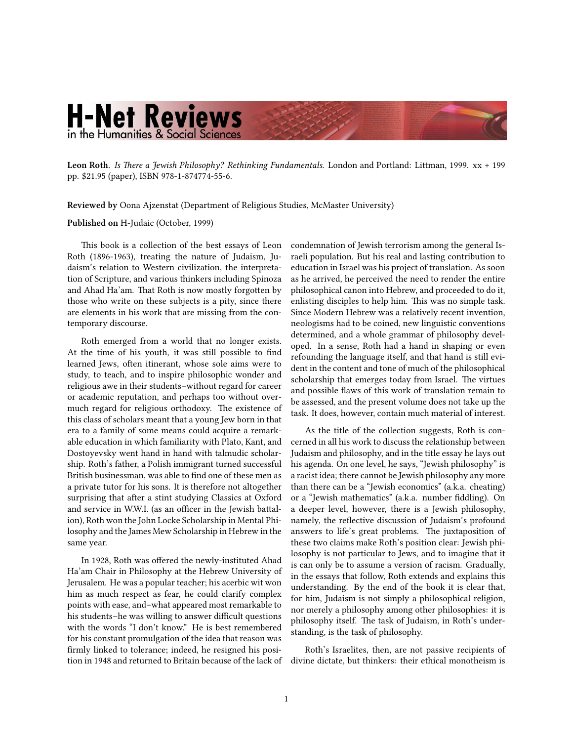## **H-Net Reviews** in the Humanities & Social Sciences

**Leon Roth.** *[Is There a Jewish Philosophy? Rethinking Fundamentals.](http://www.amazon.com/exec/obidos/ASIN/1874774552)* London and Portland: Littman, 1999. xx + 199 pp. \$21.95 (paper), ISBN 978-1-874774-55-6.

**Reviewed by** Oona Ajzenstat (Department of Religious Studies, McMaster University)

## **Published on** H-Judaic (October, 1999)

This book is a collection of the best essays of Leon Roth (1896-1963), treating the nature of Judaism, Judaism's relation to Western civilization, the interpretation of Scripture, and various thinkers including Spinoza and Ahad Ha'am. That Roth is now mostly forgotten by those who write on these subjects is a pity, since there are elements in his work that are missing from the contemporary discourse.

Roth emerged from a world that no longer exists. At the time of his youth, it was still possible to find learned Jews, often itinerant, whose sole aims were to study, to teach, and to inspire philosophic wonder and religious awe in their students–without regard for career or academic reputation, and perhaps too without overmuch regard for religious orthodoxy. The existence of this class of scholars meant that a young Jew born in that era to a family of some means could acquire a remarkable education in which familiarity with Plato, Kant, and Dostoyevsky went hand in hand with talmudic scholarship. Roth's father, a Polish immigrant turned successful British businessman, was able to find one of these men as a private tutor for his sons. It is therefore not altogether surprising that after a stint studying Classics at Oxford and service in W.W.I. (as an officer in the Jewish battalion), Roth won the John Locke Scholarship in Mental Philosophy and the James Mew Scholarship in Hebrew in the same year.

In 1928, Roth was offered the newly-instituted Ahad Ha'am Chair in Philosophy at the Hebrew University of Jerusalem. He was a popular teacher; his acerbic wit won him as much respect as fear, he could clarify complex points with ease, and–what appeared most remarkable to his students–he was willing to answer difficult questions with the words "I don't know." He is best remembered for his constant promulgation of the idea that reason was firmly linked to tolerance; indeed, he resigned his position in 1948 and returned to Britain because of the lack of condemnation of Jewish terrorism among the general Israeli population. But his real and lasting contribution to education in Israel was his project of translation. As soon as he arrived, he perceived the need to render the entire philosophical canon into Hebrew, and proceeded to do it, enlisting disciples to help him. This was no simple task. Since Modern Hebrew was a relatively recent invention, neologisms had to be coined, new linguistic conventions determined, and a whole grammar of philosophy developed. In a sense, Roth had a hand in shaping or even refounding the language itself, and that hand is still evident in the content and tone of much of the philosophical scholarship that emerges today from Israel. The virtues and possible flaws of this work of translation remain to be assessed, and the present volume does not take up the task. It does, however, contain much material of interest.

As the title of the collection suggests, Roth is concerned in all his work to discuss the relationship between Judaism and philosophy, and in the title essay he lays out his agenda. On one level, he says, "Jewish philosophy" is a racist idea; there cannot be Jewish philosophy any more than there can be a "Jewish economics" (a.k.a. cheating) or a "Jewish mathematics" (a.k.a. number fiddling). On a deeper level, however, there is a Jewish philosophy, namely, the reflective discussion of Judaism's profound answers to life's great problems. The juxtaposition of these two claims make Roth's position clear: Jewish philosophy is not particular to Jews, and to imagine that it is can only be to assume a version of racism. Gradually, in the essays that follow, Roth extends and explains this understanding. By the end of the book it is clear that, for him, Judaism is not simply a philosophical religion, nor merely a philosophy among other philosophies: it is philosophy itself. The task of Judaism, in Roth's understanding, is the task of philosophy.

Roth's Israelites, then, are not passive recipients of divine dictate, but thinkers: their ethical monotheism is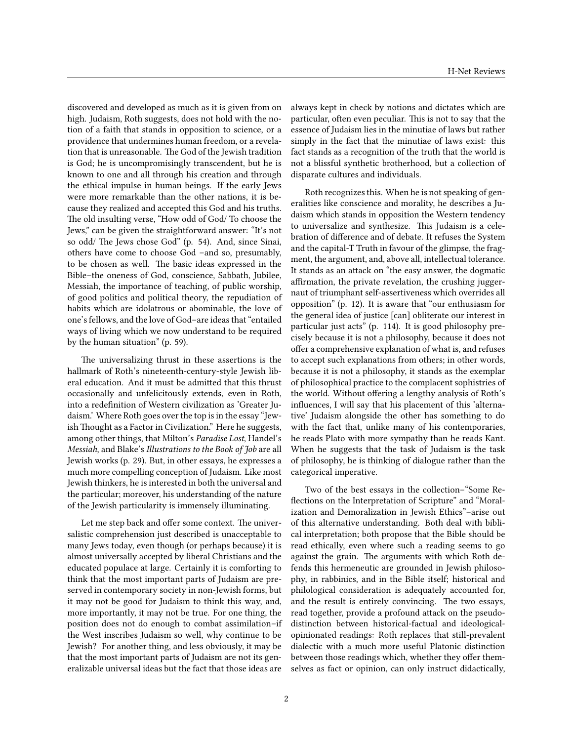discovered and developed as much as it is given from on high. Judaism, Roth suggests, does not hold with the notion of a faith that stands in opposition to science, or a providence that undermines human freedom, or a revelation that is unreasonable. The God of the Jewish tradition is God; he is uncompromisingly transcendent, but he is known to one and all through his creation and through the ethical impulse in human beings. If the early Jews were more remarkable than the other nations, it is because they realized and accepted this God and his truths. The old insulting verse, "How odd of God/ To choose the Jews," can be given the straightforward answer: "It's not so odd/ The Jews chose God" (p. 54). And, since Sinai, others have come to choose God –and so, presumably, to be chosen as well. The basic ideas expressed in the Bible–the oneness of God, conscience, Sabbath, Jubilee, Messiah, the importance of teaching, of public worship, of good politics and political theory, the repudiation of habits which are idolatrous or abominable, the love of one's fellows, and the love of God–are ideas that "entailed ways of living which we now understand to be required by the human situation" (p. 59).

The universalizing thrust in these assertions is the hallmark of Roth's nineteenth-century-style Jewish liberal education. And it must be admitted that this thrust occasionally and unfelicitously extends, even in Roth, into a redefinition of Western civilization as 'Greater Judaism.' Where Roth goes over the top is in the essay "Jewish Thought as a Factor in Civilization." Here he suggests, among other things, that Milton's *Paradise Lost*, Handel's *Messiah*, and Blake's *Illustrations to the Book of Job* are all Jewish works (p. 29). But, in other essays, he expresses a much more compelling conception of Judaism. Like most Jewish thinkers, he is interested in both the universal and the particular; moreover, his understanding of the nature of the Jewish particularity is immensely illuminating.

Let me step back and offer some context. The universalistic comprehension just described is unacceptable to many Jews today, even though (or perhaps because) it is almost universally accepted by liberal Christians and the educated populace at large. Certainly it is comforting to think that the most important parts of Judaism are preserved in contemporary society in non-Jewish forms, but it may not be good for Judaism to think this way, and, more importantly, it may not be true. For one thing, the position does not do enough to combat assimilation–if the West inscribes Judaism so well, why continue to be Jewish? For another thing, and less obviously, it may be that the most important parts of Judaism are not its generalizable universal ideas but the fact that those ideas are always kept in check by notions and dictates which are particular, often even peculiar. This is not to say that the essence of Judaism lies in the minutiae of laws but rather simply in the fact that the minutiae of laws exist: this fact stands as a recognition of the truth that the world is not a blissful synthetic brotherhood, but a collection of disparate cultures and individuals.

Roth recognizes this. When he is not speaking of generalities like conscience and morality, he describes a Judaism which stands in opposition the Western tendency to universalize and synthesize. This Judaism is a celebration of difference and of debate. It refuses the System and the capital-T Truth in favour of the glimpse, the fragment, the argument, and, above all, intellectual tolerance. It stands as an attack on "the easy answer, the dogmatic affirmation, the private revelation, the crushing juggernaut of triumphant self-assertiveness which overrides all opposition" (p. 12). It is aware that "our enthusiasm for the general idea of justice [can] obliterate our interest in particular just acts" (p. 114). It is good philosophy precisely because it is not a philosophy, because it does not offer a comprehensive explanation of what is, and refuses to accept such explanations from others; in other words, because it is not a philosophy, it stands as the exemplar of philosophical practice to the complacent sophistries of the world. Without offering a lengthy analysis of Roth's influences, I will say that his placement of this 'alternative' Judaism alongside the other has something to do with the fact that, unlike many of his contemporaries, he reads Plato with more sympathy than he reads Kant. When he suggests that the task of Judaism is the task of philosophy, he is thinking of dialogue rather than the categorical imperative.

Two of the best essays in the collection–"Some Reflections on the Interpretation of Scripture" and "Moralization and Demoralization in Jewish Ethics"–arise out of this alternative understanding. Both deal with biblical interpretation; both propose that the Bible should be read ethically, even where such a reading seems to go against the grain. The arguments with which Roth defends this hermeneutic are grounded in Jewish philosophy, in rabbinics, and in the Bible itself; historical and philological consideration is adequately accounted for, and the result is entirely convincing. The two essays, read together, provide a profound attack on the pseudodistinction between historical-factual and ideologicalopinionated readings: Roth replaces that still-prevalent dialectic with a much more useful Platonic distinction between those readings which, whether they offer themselves as fact or opinion, can only instruct didactically,